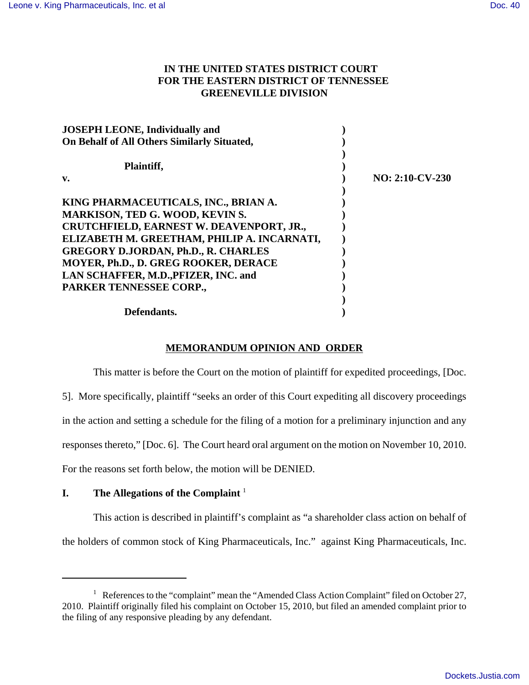## **IN THE UNITED STATES DISTRICT COURT FOR THE EASTERN DISTRICT OF TENNESSEE GREENEVILLE DIVISION**

| <b>JOSEPH LEONE, Individually and</b>       |                   |
|---------------------------------------------|-------------------|
| On Behalf of All Others Similarly Situated, |                   |
| Plaintiff,                                  |                   |
| v.                                          | $NO: 2:10-CV-230$ |
|                                             |                   |
| KING PHARMACEUTICALS, INC., BRIAN A.        |                   |
| <b>MARKISON, TED G. WOOD, KEVIN S.</b>      |                   |
| CRUTCHFIELD, EARNEST W. DEAVENPORT, JR.,    |                   |
| ELIZABETH M. GREETHAM, PHILIP A. INCARNATI, |                   |
| <b>GREGORY D.JORDAN, Ph.D., R. CHARLES</b>  |                   |
| MOYER, Ph.D., D. GREG ROOKER, DERACE        |                   |
| LAN SCHAFFER, M.D., PFIZER, INC. and        |                   |
| PARKER TENNESSEE CORP.,                     |                   |
|                                             |                   |
| Defendants.                                 |                   |

# **MEMORANDUM OPINION AND ORDER**

This matter is before the Court on the motion of plaintiff for expedited proceedings, [Doc. 5]. More specifically, plaintiff "seeks an order of this Court expediting all discovery proceedings in the action and setting a schedule for the filing of a motion for a preliminary injunction and any responses thereto," [Doc. 6]. The Court heard oral argument on the motion on November 10, 2010. For the reasons set forth below, the motion will be DENIED.

### **I. The Allegations of the Complaint** <sup>1</sup>

This action is described in plaintiff's complaint as "a shareholder class action on behalf of the holders of common stock of King Pharmaceuticals, Inc." against King Pharmaceuticals, Inc.

<sup>&</sup>lt;sup>1</sup> References to the "complaint" mean the "Amended Class Action Complaint" filed on October 27, 2010. Plaintiff originally filed his complaint on October 15, 2010, but filed an amended complaint prior to the filing of any responsive pleading by any defendant.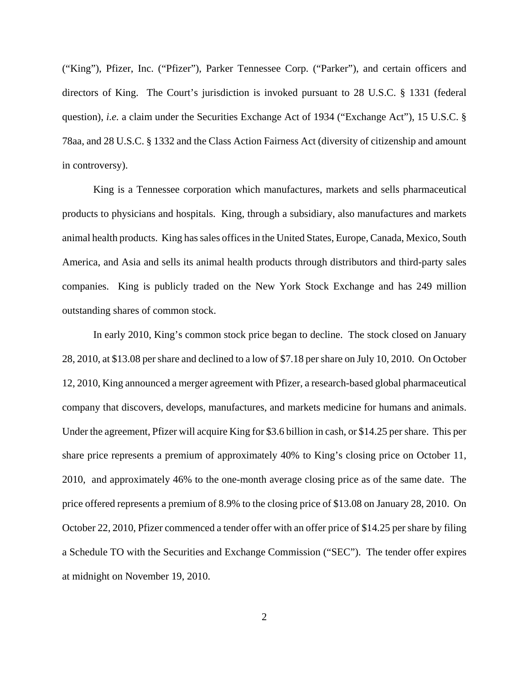("King"), Pfizer, Inc. ("Pfizer"), Parker Tennessee Corp. ("Parker"), and certain officers and directors of King. The Court's jurisdiction is invoked pursuant to 28 U.S.C. § 1331 (federal question), *i.e.* a claim under the Securities Exchange Act of 1934 ("Exchange Act"), 15 U.S.C. § 78aa, and 28 U.S.C. § 1332 and the Class Action Fairness Act (diversity of citizenship and amount in controversy).

King is a Tennessee corporation which manufactures, markets and sells pharmaceutical products to physicians and hospitals. King, through a subsidiary, also manufactures and markets animal health products. King has sales offices in the United States, Europe, Canada, Mexico, South America, and Asia and sells its animal health products through distributors and third-party sales companies. King is publicly traded on the New York Stock Exchange and has 249 million outstanding shares of common stock.

In early 2010, King's common stock price began to decline. The stock closed on January 28, 2010, at \$13.08 per share and declined to a low of \$7.18 per share on July 10, 2010. On October 12, 2010, King announced a merger agreement with Pfizer, a research-based global pharmaceutical company that discovers, develops, manufactures, and markets medicine for humans and animals. Under the agreement, Pfizer will acquire King for \$3.6 billion in cash, or \$14.25 per share. This per share price represents a premium of approximately 40% to King's closing price on October 11, 2010, and approximately 46% to the one-month average closing price as of the same date. The price offered represents a premium of 8.9% to the closing price of \$13.08 on January 28, 2010. On October 22, 2010, Pfizer commenced a tender offer with an offer price of \$14.25 per share by filing a Schedule TO with the Securities and Exchange Commission ("SEC"). The tender offer expires at midnight on November 19, 2010.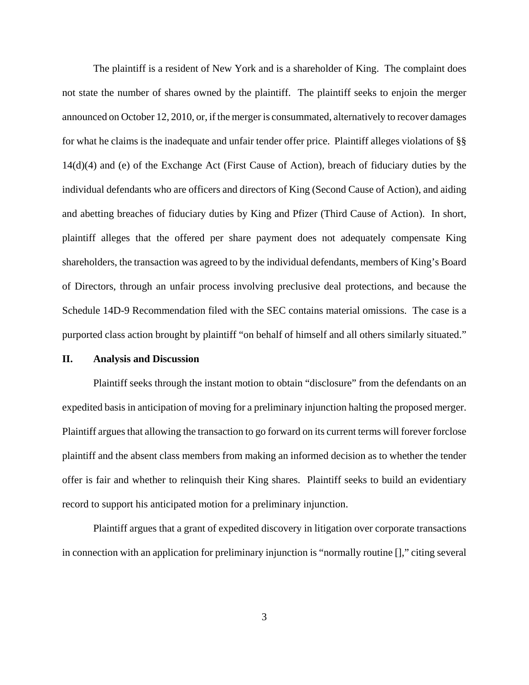The plaintiff is a resident of New York and is a shareholder of King. The complaint does not state the number of shares owned by the plaintiff. The plaintiff seeks to enjoin the merger announced on October 12, 2010, or, if the merger is consummated, alternatively to recover damages for what he claims is the inadequate and unfair tender offer price. Plaintiff alleges violations of §§ 14(d)(4) and (e) of the Exchange Act (First Cause of Action), breach of fiduciary duties by the individual defendants who are officers and directors of King (Second Cause of Action), and aiding and abetting breaches of fiduciary duties by King and Pfizer (Third Cause of Action). In short, plaintiff alleges that the offered per share payment does not adequately compensate King shareholders, the transaction was agreed to by the individual defendants, members of King's Board of Directors, through an unfair process involving preclusive deal protections, and because the Schedule 14D-9 Recommendation filed with the SEC contains material omissions. The case is a purported class action brought by plaintiff "on behalf of himself and all others similarly situated."

### **II. Analysis and Discussion**

Plaintiff seeks through the instant motion to obtain "disclosure" from the defendants on an expedited basis in anticipation of moving for a preliminary injunction halting the proposed merger. Plaintiff argues that allowing the transaction to go forward on its current terms will forever forclose plaintiff and the absent class members from making an informed decision as to whether the tender offer is fair and whether to relinquish their King shares. Plaintiff seeks to build an evidentiary record to support his anticipated motion for a preliminary injunction.

Plaintiff argues that a grant of expedited discovery in litigation over corporate transactions in connection with an application for preliminary injunction is "normally routine []," citing several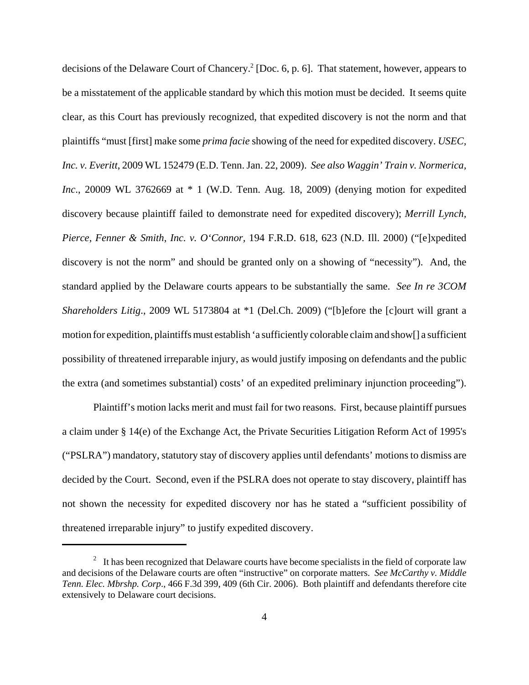decisions of the Delaware Court of Chancery.<sup>2</sup> [Doc. 6, p. 6]. That statement, however, appears to be a misstatement of the applicable standard by which this motion must be decided. It seems quite clear, as this Court has previously recognized, that expedited discovery is not the norm and that plaintiffs "must [first] make some *prima facie* showing of the need for expedited discovery. *USEC, Inc. v. Everitt*, 2009 WL 152479 (E.D. Tenn. Jan. 22, 2009). *See also Waggin' Train v. Normerica, Inc.*, 20009 WL 3762669 at \* 1 (W.D. Tenn. Aug. 18, 2009) (denying motion for expedited discovery because plaintiff failed to demonstrate need for expedited discovery); *Merrill Lynch, Pierce, Fenner & Smith, Inc. v. O'Connor,* 194 F.R.D. 618, 623 (N.D. Ill. 2000) ("[e]xpedited discovery is not the norm" and should be granted only on a showing of "necessity"). And, the standard applied by the Delaware courts appears to be substantially the same. *See In re 3COM Shareholders Litig*., 2009 WL 5173804 at \*1 (Del.Ch. 2009) ("[b]efore the [c]ourt will grant a motion for expedition, plaintiffs must establish 'a sufficiently colorable claim and show[] a sufficient possibility of threatened irreparable injury, as would justify imposing on defendants and the public the extra (and sometimes substantial) costs' of an expedited preliminary injunction proceeding").

Plaintiff's motion lacks merit and must fail for two reasons. First, because plaintiff pursues a claim under § 14(e) of the Exchange Act, the Private Securities Litigation Reform Act of 1995's ("PSLRA") mandatory, statutory stay of discovery applies until defendants' motions to dismiss are decided by the Court. Second, even if the PSLRA does not operate to stay discovery, plaintiff has not shown the necessity for expedited discovery nor has he stated a "sufficient possibility of threatened irreparable injury" to justify expedited discovery.

 $2<sup>2</sup>$  It has been recognized that Delaware courts have become specialists in the field of corporate law and decisions of the Delaware courts are often "instructive" on corporate matters. *See McCarthy v. Middle Tenn. Elec. Mbrshp. Corp*., 466 F.3d 399, 409 (6th Cir. 2006). Both plaintiff and defendants therefore cite extensively to Delaware court decisions.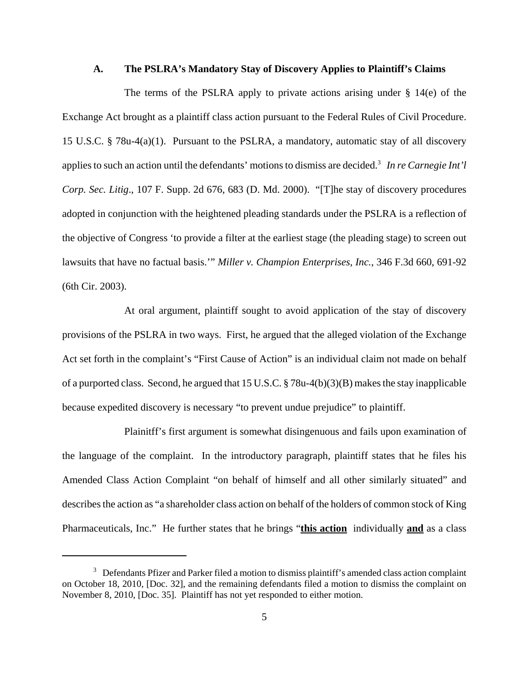#### **A. The PSLRA's Mandatory Stay of Discovery Applies to Plaintiff's Claims**

The terms of the PSLRA apply to private actions arising under  $\S$  14(e) of the Exchange Act brought as a plaintiff class action pursuant to the Federal Rules of Civil Procedure. 15 U.S.C. § 78u-4(a)(1). Pursuant to the PSLRA, a mandatory, automatic stay of all discovery applies to such an action until the defendants' motions to dismiss are decided.<sup>3</sup> In re Carnegie Int'l *Corp. Sec. Litig*., 107 F. Supp. 2d 676, 683 (D. Md. 2000). "[T]he stay of discovery procedures adopted in conjunction with the heightened pleading standards under the PSLRA is a reflection of the objective of Congress 'to provide a filter at the earliest stage (the pleading stage) to screen out lawsuits that have no factual basis.'" *Miller v. Champion Enterprises, Inc.*, 346 F.3d 660, 691-92 (6th Cir. 2003).

At oral argument, plaintiff sought to avoid application of the stay of discovery provisions of the PSLRA in two ways. First, he argued that the alleged violation of the Exchange Act set forth in the complaint's "First Cause of Action" is an individual claim not made on behalf of a purported class. Second, he argued that 15 U.S.C. § 78u-4(b)(3)(B) makes the stay inapplicable because expedited discovery is necessary "to prevent undue prejudice" to plaintiff.

Plainitff's first argument is somewhat disingenuous and fails upon examination of the language of the complaint. In the introductory paragraph, plaintiff states that he files his Amended Class Action Complaint "on behalf of himself and all other similarly situated" and describes the action as "a shareholder class action on behalf of the holders of common stock of King Pharmaceuticals, Inc." He further states that he brings "**this action** individually **and** as a class

 $3$  Defendants Pfizer and Parker filed a motion to dismiss plaintiff's amended class action complaint on October 18, 2010, [Doc. 32], and the remaining defendants filed a motion to dismiss the complaint on November 8, 2010, [Doc. 35]. Plaintiff has not yet responded to either motion.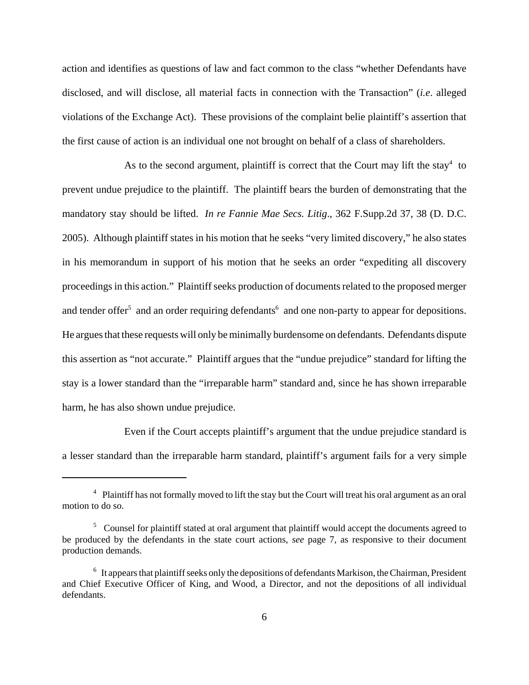action and identifies as questions of law and fact common to the class "whether Defendants have disclosed, and will disclose, all material facts in connection with the Transaction" (*i.e*. alleged violations of the Exchange Act). These provisions of the complaint belie plaintiff's assertion that the first cause of action is an individual one not brought on behalf of a class of shareholders.

As to the second argument, plaintiff is correct that the Court may lift the stay $4$  to prevent undue prejudice to the plaintiff. The plaintiff bears the burden of demonstrating that the mandatory stay should be lifted. *In re Fannie Mae Secs. Litig*., 362 F.Supp.2d 37, 38 (D. D.C. 2005). Although plaintiff states in his motion that he seeks "very limited discovery," he also states in his memorandum in support of his motion that he seeks an order "expediting all discovery proceedings in this action." Plaintiff seeks production of documents related to the proposed merger and tender offer<sup>5</sup> and an order requiring defendants<sup>6</sup> and one non-party to appear for depositions. He argues that these requests will only be minimally burdensome on defendants. Defendants dispute this assertion as "not accurate." Plaintiff argues that the "undue prejudice" standard for lifting the stay is a lower standard than the "irreparable harm" standard and, since he has shown irreparable harm, he has also shown undue prejudice.

Even if the Court accepts plaintiff's argument that the undue prejudice standard is a lesser standard than the irreparable harm standard, plaintiff's argument fails for a very simple

<sup>&</sup>lt;sup>4</sup> Plaintiff has not formally moved to lift the stay but the Court will treat his oral argument as an oral motion to do so.

<sup>&</sup>lt;sup>5</sup> Counsel for plaintiff stated at oral argument that plaintiff would accept the documents agreed to be produced by the defendants in the state court actions, *see* page 7, as responsive to their document production demands.

 $6\;$  It appears that plaintiff seeks only the depositions of defendants Markison, the Chairman, President and Chief Executive Officer of King, and Wood, a Director, and not the depositions of all individual defendants.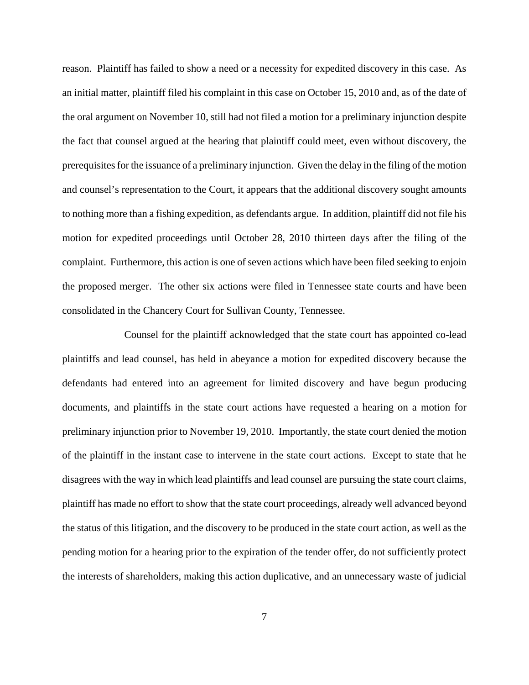reason. Plaintiff has failed to show a need or a necessity for expedited discovery in this case. As an initial matter, plaintiff filed his complaint in this case on October 15, 2010 and, as of the date of the oral argument on November 10, still had not filed a motion for a preliminary injunction despite the fact that counsel argued at the hearing that plaintiff could meet, even without discovery, the prerequisites for the issuance of a preliminary injunction. Given the delay in the filing of the motion and counsel's representation to the Court, it appears that the additional discovery sought amounts to nothing more than a fishing expedition, as defendants argue. In addition, plaintiff did not file his motion for expedited proceedings until October 28, 2010 thirteen days after the filing of the complaint. Furthermore, this action is one of seven actions which have been filed seeking to enjoin the proposed merger. The other six actions were filed in Tennessee state courts and have been consolidated in the Chancery Court for Sullivan County, Tennessee.

Counsel for the plaintiff acknowledged that the state court has appointed co-lead plaintiffs and lead counsel, has held in abeyance a motion for expedited discovery because the defendants had entered into an agreement for limited discovery and have begun producing documents, and plaintiffs in the state court actions have requested a hearing on a motion for preliminary injunction prior to November 19, 2010. Importantly, the state court denied the motion of the plaintiff in the instant case to intervene in the state court actions. Except to state that he disagrees with the way in which lead plaintiffs and lead counsel are pursuing the state court claims, plaintiff has made no effort to show that the state court proceedings, already well advanced beyond the status of this litigation, and the discovery to be produced in the state court action, as well as the pending motion for a hearing prior to the expiration of the tender offer, do not sufficiently protect the interests of shareholders, making this action duplicative, and an unnecessary waste of judicial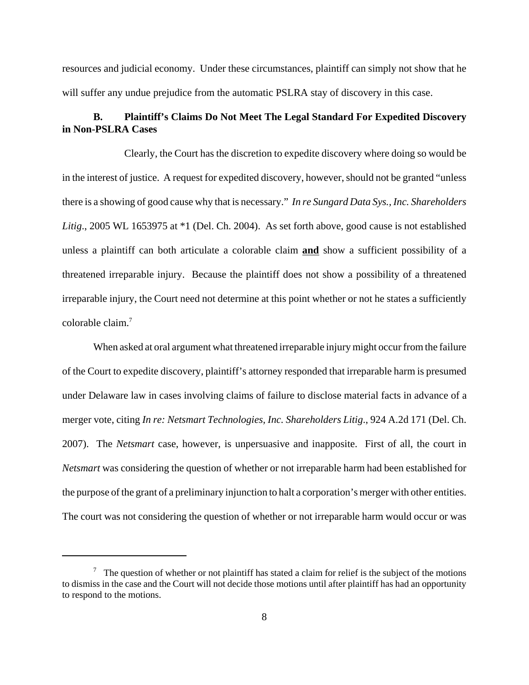resources and judicial economy. Under these circumstances, plaintiff can simply not show that he will suffer any undue prejudice from the automatic PSLRA stay of discovery in this case.

## **B. Plaintiff's Claims Do Not Meet The Legal Standard For Expedited Discovery in Non-PSLRA Cases**

Clearly, the Court has the discretion to expedite discovery where doing so would be in the interest of justice. A request for expedited discovery, however, should not be granted "unless there is a showing of good cause why that is necessary." *In re Sungard Data Sys., Inc. Shareholders Litig*., 2005 WL 1653975 at \*1 (Del. Ch. 2004). As set forth above, good cause is not established unless a plaintiff can both articulate a colorable claim **and** show a sufficient possibility of a threatened irreparable injury. Because the plaintiff does not show a possibility of a threatened irreparable injury, the Court need not determine at this point whether or not he states a sufficiently colorable claim.7

When asked at oral argument what threatened irreparable injury might occur from the failure of the Court to expedite discovery, plaintiff's attorney responded that irreparable harm is presumed under Delaware law in cases involving claims of failure to disclose material facts in advance of a merger vote, citing *In re: Netsmart Technologies, Inc. Shareholders Litig*., 924 A.2d 171 (Del. Ch. 2007). The *Netsmart* case, however, is unpersuasive and inapposite. First of all, the court in *Netsmart* was considering the question of whether or not irreparable harm had been established for the purpose of the grant of a preliminary injunction to halt a corporation's merger with other entities. The court was not considering the question of whether or not irreparable harm would occur or was

 $\frac{7}{1}$  The question of whether or not plaintiff has stated a claim for relief is the subject of the motions to dismiss in the case and the Court will not decide those motions until after plaintiff has had an opportunity to respond to the motions.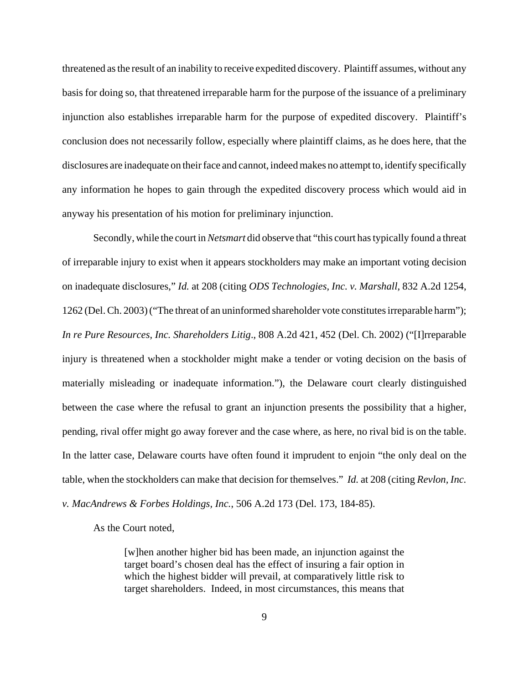threatened as the result of an inability to receive expedited discovery. Plaintiff assumes, without any basis for doing so, that threatened irreparable harm for the purpose of the issuance of a preliminary injunction also establishes irreparable harm for the purpose of expedited discovery. Plaintiff's conclusion does not necessarily follow, especially where plaintiff claims, as he does here, that the disclosures are inadequate on their face and cannot, indeed makes no attempt to, identify specifically any information he hopes to gain through the expedited discovery process which would aid in anyway his presentation of his motion for preliminary injunction.

Secondly, while the court in *Netsmart* did observe that "this court has typically found a threat of irreparable injury to exist when it appears stockholders may make an important voting decision on inadequate disclosures," *Id.* at 208 (citing *ODS Technologies, Inc. v. Marshall*, 832 A.2d 1254, 1262 (Del. Ch. 2003) ("The threat of an uninformed shareholder vote constitutes irreparable harm"); *In re Pure Resources, Inc. Shareholders Litig*., 808 A.2d 421, 452 (Del. Ch. 2002) ("[I]rreparable injury is threatened when a stockholder might make a tender or voting decision on the basis of materially misleading or inadequate information."), the Delaware court clearly distinguished between the case where the refusal to grant an injunction presents the possibility that a higher, pending, rival offer might go away forever and the case where, as here, no rival bid is on the table. In the latter case, Delaware courts have often found it imprudent to enjoin "the only deal on the table, when the stockholders can make that decision for themselves." *Id.* at 208 (citing *Revlon, Inc. v. MacAndrews & Forbes Holdings, Inc.*, 506 A.2d 173 (Del. 173, 184-85).

As the Court noted,

[w]hen another higher bid has been made, an injunction against the target board's chosen deal has the effect of insuring a fair option in which the highest bidder will prevail, at comparatively little risk to target shareholders. Indeed, in most circumstances, this means that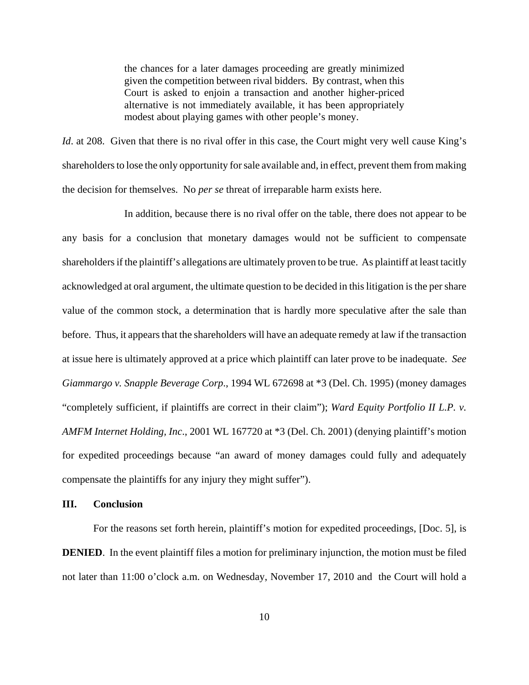the chances for a later damages proceeding are greatly minimized given the competition between rival bidders. By contrast, when this Court is asked to enjoin a transaction and another higher-priced alternative is not immediately available, it has been appropriately modest about playing games with other people's money.

*Id.* at 208. Given that there is no rival offer in this case, the Court might very well cause King's shareholders to lose the only opportunity for sale available and, in effect, prevent them from making the decision for themselves. No *per se* threat of irreparable harm exists here.

In addition, because there is no rival offer on the table, there does not appear to be any basis for a conclusion that monetary damages would not be sufficient to compensate shareholders if the plaintiff's allegations are ultimately proven to be true. As plaintiff at least tacitly acknowledged at oral argument, the ultimate question to be decided in this litigation is the per share value of the common stock, a determination that is hardly more speculative after the sale than before. Thus, it appears that the shareholders will have an adequate remedy at law if the transaction at issue here is ultimately approved at a price which plaintiff can later prove to be inadequate. *See Giammargo v. Snapple Beverage Corp*., 1994 WL 672698 at \*3 (Del. Ch. 1995) (money damages "completely sufficient, if plaintiffs are correct in their claim"); *Ward Equity Portfolio II L.P. v. AMFM Internet Holding, Inc*., 2001 WL 167720 at \*3 (Del. Ch. 2001) (denying plaintiff's motion for expedited proceedings because "an award of money damages could fully and adequately compensate the plaintiffs for any injury they might suffer").

### **III. Conclusion**

For the reasons set forth herein, plaintiff's motion for expedited proceedings, [Doc. 5], is **DENIED**. In the event plaintiff files a motion for preliminary injunction, the motion must be filed not later than 11:00 o'clock a.m. on Wednesday, November 17, 2010 and the Court will hold a